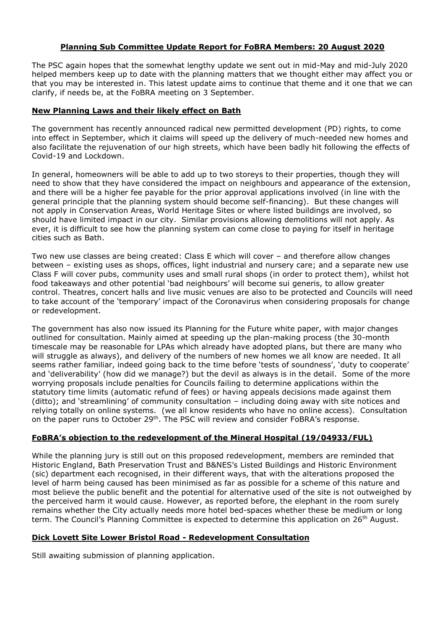# **Planning Sub Committee Update Report for FoBRA Members: 20 August 2020**

The PSC again hopes that the somewhat lengthy update we sent out in mid-May and mid-July 2020 helped members keep up to date with the planning matters that we thought either may affect you or that you may be interested in. This latest update aims to continue that theme and it one that we can clarify, if needs be, at the FoBRA meeting on 3 September.

## **New Planning Laws and their likely effect on Bath**

The government has recently announced radical new permitted development (PD) rights, to come into effect in September, which it claims will speed up the delivery of much-needed new homes and also facilitate the rejuvenation of our high streets, which have been badly hit following the effects of Covid-19 and Lockdown.

In general, homeowners will be able to add up to two storeys to their properties, though they will need to show that they have considered the impact on neighbours and appearance of the extension, and there will be a higher fee payable for the prior approval applications involved (in line with the general principle that the planning system should become self-financing). But these changes will not apply in Conservation Areas, World Heritage Sites or where listed buildings are involved, so should have limited impact in our city. Similar provisions allowing demolitions will not apply. As ever, it is difficult to see how the planning system can come close to paying for itself in heritage cities such as Bath.

Two new use classes are being created: Class E which will cover – and therefore allow changes between – existing uses as shops, offices, light industrial and nursery care; and a separate new use Class F will cover pubs, community uses and small rural shops (in order to protect them), whilst hot food takeaways and other potential 'bad neighbours' will become sui generis, to allow greater control. Theatres, concert halls and live music venues are also to be protected and Councils will need to take account of the 'temporary' impact of the Coronavirus when considering proposals for change or redevelopment.

The government has also now issued its Planning for the Future white paper, with major changes outlined for consultation. Mainly aimed at speeding up the plan-making process (the 30-month timescale may be reasonable for LPAs which already have adopted plans, but there are many who will struggle as always), and delivery of the numbers of new homes we all know are needed. It all seems rather familiar, indeed going back to the time before 'tests of soundness', 'duty to cooperate' and 'deliverability' (how did we manage?) but the devil as always is in the detail. Some of the more worrying proposals include penalties for Councils failing to determine applications within the statutory time limits (automatic refund of fees) or having appeals decisions made against them (ditto); and 'streamlining' of community consultation – including doing away with site notices and relying totally on online systems. (we all know residents who have no online access). Consultation on the paper runs to October 29<sup>th</sup>. The PSC will review and consider FoBRA's response.

# **FoBRA's objection to the redevelopment of the Mineral Hospital (19/04933/FUL)**

While the planning jury is still out on this proposed redevelopment, members are reminded that Historic England, Bath Preservation Trust and B&NES's Listed Buildings and Historic Environment (sic) department each recognised, in their different ways, that with the alterations proposed the level of harm being caused has been minimised as far as possible for a scheme of this nature and most believe the public benefit and the potential for alternative used of the site is not outweighed by the perceived harm it would cause. However, as reported before, the elephant in the room surely remains whether the City actually needs more hotel bed-spaces whether these be medium or long term. The Council's Planning Committee is expected to determine this application on 26<sup>th</sup> August.

#### **Dick Lovett Site Lower Bristol Road - Redevelopment Consultation**

Still awaiting submission of planning application.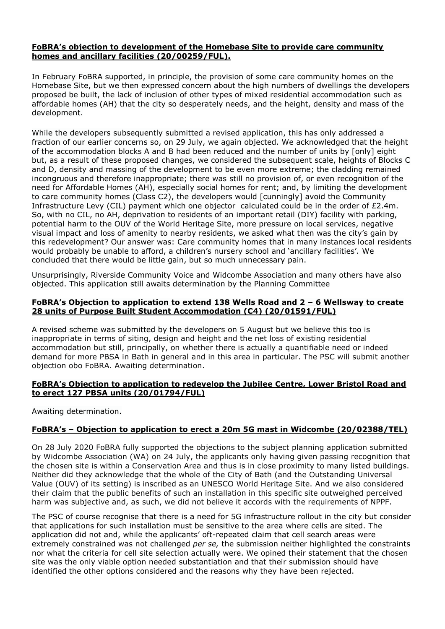#### **FoBRA's objection to development of the Homebase Site to provide care community homes and ancillary facilities (20/00259/FUL).**

In February FoBRA supported, in principle, the provision of some care community homes on the Homebase Site, but we then expressed concern about the high numbers of dwellings the developers proposed be built, the lack of inclusion of other types of mixed residential accommodation such as affordable homes (AH) that the city so desperately needs, and the height, density and mass of the development.

While the developers subsequently submitted a revised application, this has only addressed a fraction of our earlier concerns so, on 29 July, we again objected. We acknowledged that the height of the accommodation blocks A and B had been reduced and the number of units by [only] eight but, as a result of these proposed changes, we considered the subsequent scale, heights of Blocks C and D, density and massing of the development to be even more extreme; the cladding remained incongruous and therefore inappropriate; there was still no provision of, or even recognition of the need for Affordable Homes (AH), especially social homes for rent; and, by limiting the development to care community homes (Class C2), the developers would [cunningly] avoid the Community Infrastructure Levy (CIL) payment which one objector calculated could be in the order of £2.4m. So, with no CIL, no AH, deprivation to residents of an important retail (DIY) facility with parking, potential harm to the OUV of the World Heritage Site, more pressure on local services, negative visual impact and loss of amenity to nearby residents, we asked what then was the city's gain by this redevelopment? Our answer was: Care community homes that in many instances local residents would probably be unable to afford, a children's nursery school and 'ancillary facilities'. We concluded that there would be little gain, but so much unnecessary pain.

Unsurprisingly, Riverside Community Voice and Widcombe Association and many others have also objected. This application still awaits determination by the Planning Committee

## **FoBRA's Objection to application to extend 138 Wells Road and 2 – 6 Wellsway to create 28 units of Purpose Built Student Accommodation (C4) (20/01591/FUL)**

A revised scheme was submitted by the developers on 5 August but we believe this too is inappropriate in terms of siting, design and height and the net loss of existing residential accommodation but still, principally, on whether there is actually a quantifiable need or indeed demand for more PBSA in Bath in general and in this area in particular. The PSC will submit another objection obo FoBRA. Awaiting determination.

## **FoBRA's Objection to application to redevelop the Jubilee Centre, Lower Bristol Road and to erect 127 PBSA units (20/01794/FUL)**

Awaiting determination.

# **FoBRA's – Objection to application to erect a 20m 5G mast in Widcombe (20/02388/TEL)**

On 28 July 2020 FoBRA fully supported the objections to the subject planning application submitted by Widcombe Association (WA) on 24 July, the applicants only having given passing recognition that the chosen site is within a Conservation Area and thus is in close proximity to many listed buildings. Neither did they acknowledge that the whole of the City of Bath (and the Outstanding Universal Value (OUV) of its setting) is inscribed as an UNESCO World Heritage Site. And we also considered their claim that the public benefits of such an installation in this specific site outweighed perceived harm was subjective and, as such, we did not believe it accords with the requirements of NPPF.

The PSC of course recognise that there is a need for 5G infrastructure rollout in the city but consider that applications for such installation must be sensitive to the area where cells are sited. The application did not and, while the applicants' oft-repeated claim that cell search areas were extremely constrained was not challenged *per se,* the submission neither highlighted the constraints nor what the criteria for cell site selection actually were. We opined their statement that the chosen site was the only viable option needed substantiation and that their submission should have identified the other options considered and the reasons why they have been rejected.